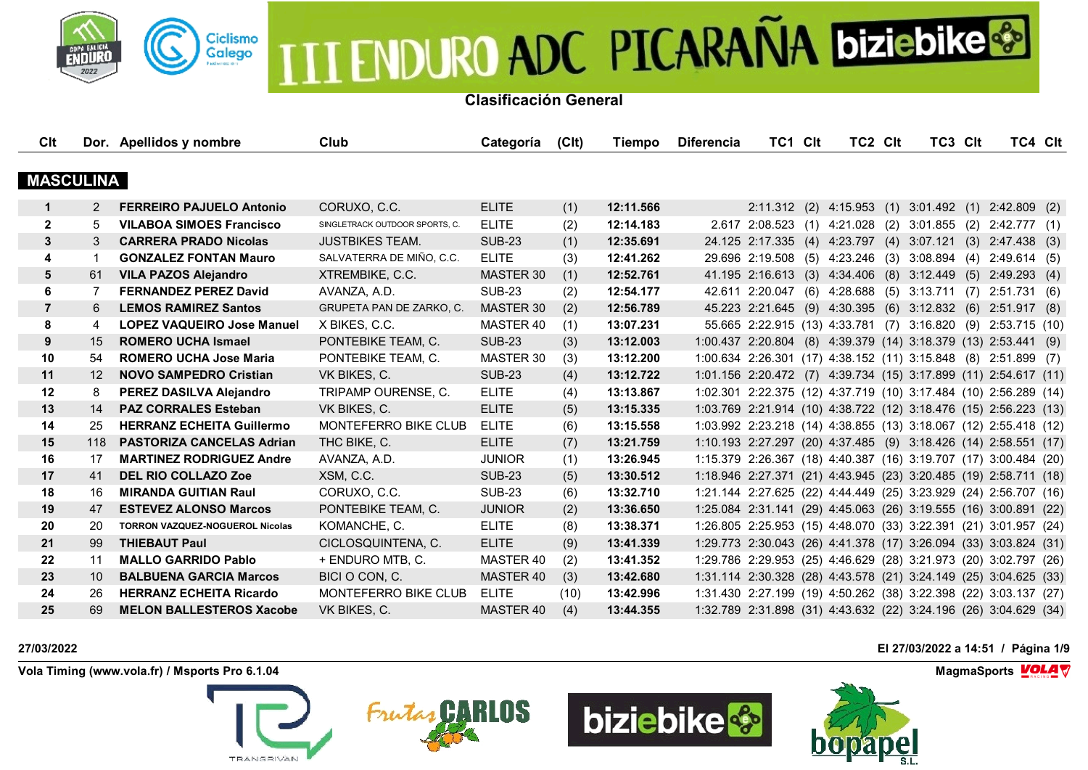

**Clasificación General**

| Clt              |     | Dor. Apellidos y nombre                | Club                           | Categoría     | (C <sub>l</sub> ) | Tiempo    | <b>Diferencia</b> | TC1 Clt                                                          | TC2 CIt | TC3 CIt | TC4 Clt                                             |  |
|------------------|-----|----------------------------------------|--------------------------------|---------------|-------------------|-----------|-------------------|------------------------------------------------------------------|---------|---------|-----------------------------------------------------|--|
|                  |     |                                        |                                |               |                   |           |                   |                                                                  |         |         |                                                     |  |
| <b>MASCULINA</b> |     |                                        |                                |               |                   |           |                   |                                                                  |         |         |                                                     |  |
| 1                | 2   | <b>FERREIRO PAJUELO Antonio</b>        | CORUXO, C.C.                   | <b>ELITE</b>  | (1)               | 12:11.566 |                   |                                                                  |         |         | 2:11.312 (2) 4:15.953 (1) 3:01.492 (1) 2:42.809 (2) |  |
| $\mathbf{2}$     | 5   | <b>VILABOA SIMOES Francisco</b>        | SINGLETRACK OUTDOOR SPORTS, C. | <b>ELITE</b>  | (2)               | 12:14.183 |                   | 2.617 2:08.523 (1) 4:21.028 (2) 3:01.855 (2) 2:42.777 (1)        |         |         |                                                     |  |
| 3                | 3   | <b>CARRERA PRADO Nicolas</b>           | <b>JUSTBIKES TEAM.</b>         | <b>SUB-23</b> | (1)               | 12:35.691 |                   | 24.125 2:17.335 (4) 4:23.797 (4) 3:07.121 (3) 2:47.438 (3)       |         |         |                                                     |  |
| 4                | -1  | <b>GONZALEZ FONTAN Mauro</b>           | SALVATERRA DE MIÑO, C.C.       | <b>ELITE</b>  | (3)               | 12:41.262 |                   | 29.696 2:19.508 (5) 4:23.246 (3) 3:08.894 (4) 2:49.614 (5)       |         |         |                                                     |  |
| 5                | 61  | <b>VILA PAZOS Alejandro</b>            | XTREMBIKE, C.C.                | MASTER 30     | (1)               | 12:52.761 |                   | 41.195 2:16.613 (3) 4:34.406 (8) 3:12.449 (5) 2:49.293 (4)       |         |         |                                                     |  |
| 6                | 7   | <b>FERNANDEZ PEREZ David</b>           | AVANZA, A.D.                   | <b>SUB-23</b> | (2)               | 12:54.177 |                   | 42.611 2:20.047 (6) 4:28.688 (5) 3:13.711 (7) 2:51.731 (6)       |         |         |                                                     |  |
| $\overline{7}$   | 6   | <b>LEMOS RAMIREZ Santos</b>            | GRUPETA PAN DE ZARKO, C.       | MASTER 30     | (2)               | 12:56.789 |                   | 45.223 2:21.645 (9) 4:30.395 (6) 3:12.832 (6) 2:51.917 (8)       |         |         |                                                     |  |
| 8                | 4   | <b>LOPEZ VAQUEIRO Jose Manuel</b>      | X BIKES, C.C.                  | MASTER 40     | (1)               | 13:07.231 |                   | 55.665 2:22.915 (13) 4:33.781 (7) 3:16.820 (9) 2:53.715 (10)     |         |         |                                                     |  |
| 9                | 15  | <b>ROMERO UCHA Ismael</b>              | PONTEBIKE TEAM, C.             | <b>SUB-23</b> | (3)               | 13:12.003 |                   | 1:00.437 2:20.804 (8) 4:39.379 (14) 3:18.379 (13) 2:53.441 (9)   |         |         |                                                     |  |
| 10               | 54  | <b>ROMERO UCHA Jose Maria</b>          | PONTEBIKE TEAM, C.             | MASTER 30     | (3)               | 13:12.200 |                   | 1:00.634 2:26.301 (17) 4:38.152 (11) 3:15.848 (8) 2:51.899 (7)   |         |         |                                                     |  |
| 11               | 12  | <b>NOVO SAMPEDRO Cristian</b>          | VK BIKES, C.                   | <b>SUB-23</b> | (4)               | 13:12.722 |                   | 1:01.156 2:20.472 (7) 4:39.734 (15) 3:17.899 (11) 2:54.617 (11)  |         |         |                                                     |  |
| 12               | 8   | PEREZ DASILVA Alejandro                | TRIPAMP OURENSE, C.            | <b>ELITE</b>  | (4)               | 13:13.867 |                   | 1:02.301 2:22.375 (12) 4:37.719 (10) 3:17.484 (10) 2:56.289 (14) |         |         |                                                     |  |
| 13               | 14  | <b>PAZ CORRALES Esteban</b>            | VK BIKES, C.                   | <b>ELITE</b>  | (5)               | 13:15.335 |                   | 1:03.769 2:21.914 (10) 4:38.722 (12) 3:18.476 (15) 2:56.223 (13) |         |         |                                                     |  |
| 14               | 25  | <b>HERRANZ ECHEITA Guillermo</b>       | MONTEFERRO BIKE CLUB           | <b>ELITE</b>  | (6)               | 13:15.558 |                   | 1:03.992 2:23.218 (14) 4:38.855 (13) 3:18.067 (12) 2:55.418 (12) |         |         |                                                     |  |
| 15               | 118 | <b>PASTORIZA CANCELAS Adrian</b>       | THC BIKE, C.                   | <b>ELITE</b>  | (7)               | 13:21.759 |                   | 1:10.193 2:27.297 (20) 4:37.485 (9) 3:18.426 (14) 2:58.551 (17)  |         |         |                                                     |  |
| 16               | 17  | <b>MARTINEZ RODRIGUEZ Andre</b>        | AVANZA, A.D.                   | <b>JUNIOR</b> | (1)               | 13:26.945 |                   | 1:15.379 2:26.367 (18) 4:40.387 (16) 3:19.707 (17) 3:00.484 (20) |         |         |                                                     |  |
| 17               | 41  | <b>DEL RIO COLLAZO Zoe</b>             | XSM, C.C.                      | <b>SUB-23</b> | (5)               | 13:30.512 |                   | 1:18.946 2:27.371 (21) 4:43.945 (23) 3:20.485 (19) 2:58.711 (18) |         |         |                                                     |  |
| 18               | 16  | <b>MIRANDA GUITIAN Raul</b>            | CORUXO, C.C.                   | <b>SUB-23</b> | (6)               | 13:32.710 |                   | 1:21.144 2:27.625 (22) 4:44.449 (25) 3:23.929 (24) 2:56.707 (16) |         |         |                                                     |  |
| 19               | 47  | <b>ESTEVEZ ALONSO Marcos</b>           | PONTEBIKE TEAM, C.             | <b>JUNIOR</b> | (2)               | 13:36.650 |                   | 1:25.084 2:31.141 (29) 4:45.063 (26) 3:19.555 (16) 3:00.891 (22) |         |         |                                                     |  |
| 20               | 20  | <b>TORRON VAZQUEZ-NOGUEROL Nicolas</b> | KOMANCHE, C.                   | <b>ELITE</b>  | (8)               | 13:38.371 |                   | 1:26.805 2:25.953 (15) 4:48.070 (33) 3:22.391 (21) 3:01.957 (24) |         |         |                                                     |  |
| 21               | 99  | <b>THIEBAUT Paul</b>                   | CICLOSQUINTENA, C.             | <b>ELITE</b>  | (9)               | 13:41.339 |                   | 1:29.773 2:30.043 (26) 4:41.378 (17) 3:26.094 (33) 3:03.824 (31) |         |         |                                                     |  |
| 22               | 11  | <b>MALLO GARRIDO Pablo</b>             | + ENDURO MTB, C.               | MASTER 40     | (2)               | 13:41.352 |                   | 1:29.786 2:29.953 (25) 4:46.629 (28) 3:21.973 (20) 3:02.797 (26) |         |         |                                                     |  |
| 23               | 10  | <b>BALBUENA GARCIA Marcos</b>          | BICI O CON, C.                 | MASTER 40     | (3)               | 13:42.680 |                   | 1:31.114 2:30.328 (28) 4:43.578 (21) 3:24.149 (25) 3:04.625 (33) |         |         |                                                     |  |
| 24               | 26  | <b>HERRANZ ECHEITA Ricardo</b>         | MONTEFERRO BIKE CLUB           | <b>ELITE</b>  | (10)              | 13:42.996 |                   | 1:31.430 2:27.199 (19) 4:50.262 (38) 3:22.398 (22) 3:03.137 (27) |         |         |                                                     |  |
| 25               | 69  | <b>MELON BALLESTEROS Xacobe</b>        | VK BIKES, C.                   | MASTER 40     | (4)               | 13:44.355 |                   | 1:32.789 2:31.898 (31) 4:43.632 (22) 3:24.196 (26) 3:04.629 (34) |         |         |                                                     |  |

**Vola Timing (www.vola.fr) / Msports Pro 6.1.04 MagmaSports MagmaSports MagmaSports MagmaSports MagmaSports** 









**27/03/2022 El 27/03/2022 a 14:51 / Página 1/9**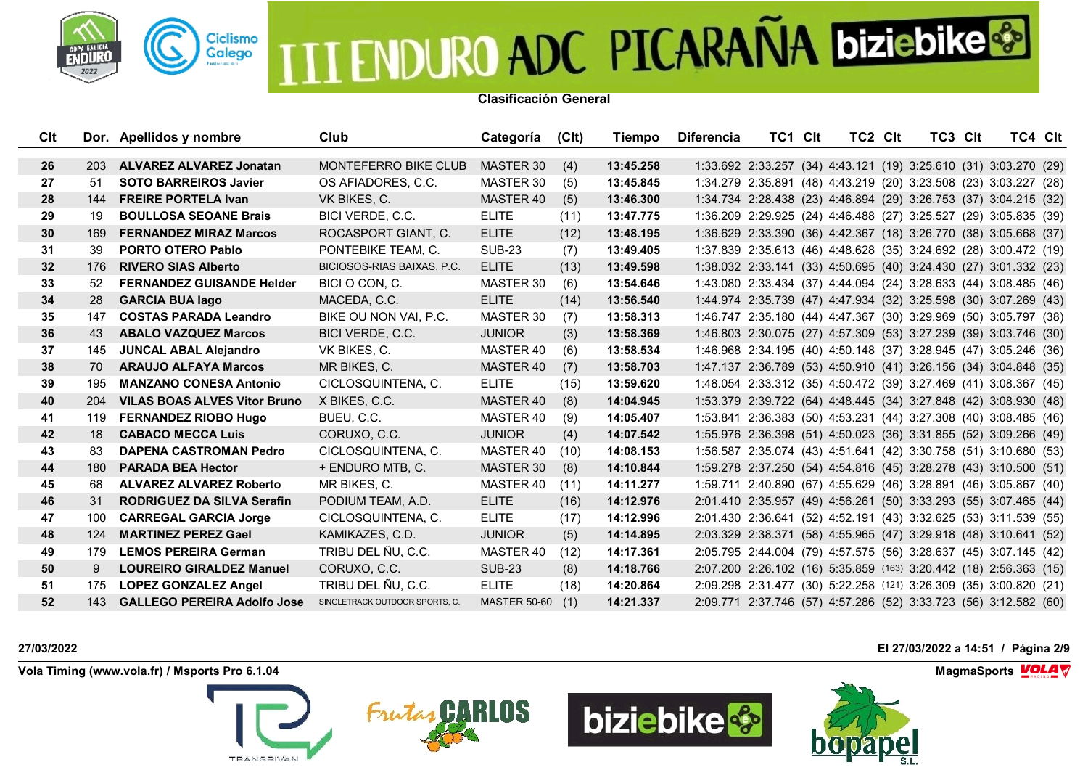

**Clasificación General**

| Clt |            | Dor. Apellidos y nombre             | Club                           | Categoría           | (C <sub>l</sub> ) | Tiempo    | <b>Diferencia</b> | TC1 Clt                                                           | <b>TC2 CIt</b> | TC3 CIt | TC4 CIt |  |
|-----|------------|-------------------------------------|--------------------------------|---------------------|-------------------|-----------|-------------------|-------------------------------------------------------------------|----------------|---------|---------|--|
|     |            |                                     |                                |                     |                   |           |                   |                                                                   |                |         |         |  |
| 26  | <b>203</b> | <b>ALVAREZ ALVAREZ Jonatan</b>      | MONTEFERRO BIKE CLUB           | MASTER 30           | (4)               | 13:45.258 |                   | 1:33.692 2:33.257 (34) 4:43.121 (19) 3:25.610 (31) 3:03.270 (29)  |                |         |         |  |
| 27  | 51         | <b>SOTO BARREIROS Javier</b>        | OS AFIADORES, C.C.             | MASTER 30           | (5)               | 13:45.845 |                   | 1:34.279 2:35.891 (48) 4:43.219 (20) 3:23.508 (23) 3:03.227 (28)  |                |         |         |  |
| 28  | 144        | <b>FREIRE PORTELA Ivan</b>          | VK BIKES, C.                   | <b>MASTER 40</b>    | (5)               | 13:46.300 |                   | 1:34.734 2:28.438 (23) 4:46.894 (29) 3:26.753 (37) 3:04.215 (32)  |                |         |         |  |
| 29  | 19         | <b>BOULLOSA SEOANE Brais</b>        | BICI VERDE, C.C.               | <b>ELITE</b>        | (11)              | 13:47.775 |                   | 1:36.209 2:29.925 (24) 4:46.488 (27) 3:25.527 (29) 3:05.835 (39)  |                |         |         |  |
| 30  | 169        | <b>FERNANDEZ MIRAZ Marcos</b>       | ROCASPORT GIANT, C.            | <b>ELITE</b>        | (12)              | 13:48.195 |                   | 1:36.629 2:33.390 (36) 4:42.367 (18) 3:26.770 (38) 3:05.668 (37)  |                |         |         |  |
| 31  | 39         | <b>PORTO OTERO Pablo</b>            | PONTEBIKE TEAM, C.             | <b>SUB-23</b>       | (7)               | 13:49.405 |                   | 1:37.839 2:35.613 (46) 4:48.628 (35) 3:24.692 (28) 3:00.472 (19)  |                |         |         |  |
| 32  | 176        | <b>RIVERO SIAS Alberto</b>          | BICIOSOS-RIAS BAIXAS, P.C.     | <b>ELITE</b>        | (13)              | 13:49.598 |                   | 1:38.032 2:33.141 (33) 4:50.695 (40) 3:24.430 (27) 3:01.332 (23)  |                |         |         |  |
| 33  | 52         | <b>FERNANDEZ GUISANDE Helder</b>    | BICI O CON, C.                 | MASTER 30           | (6)               | 13:54.646 |                   | 1:43.080 2:33.434 (37) 4:44.094 (24) 3:28.633 (44) 3:08.485 (46)  |                |         |         |  |
| 34  | 28         | <b>GARCIA BUA lago</b>              | MACEDA, C.C.                   | <b>ELITE</b>        | (14)              | 13:56.540 |                   | 1:44.974 2:35.739 (47) 4:47.934 (32) 3:25.598 (30) 3:07.269 (43)  |                |         |         |  |
| 35  | 147        | <b>COSTAS PARADA Leandro</b>        | BIKE OU NON VAI. P.C.          | MASTER 30           | (7)               | 13:58.313 |                   | 1:46.747 2:35.180 (44) 4:47.367 (30) 3:29.969 (50) 3:05.797 (38)  |                |         |         |  |
| 36  | 43         | <b>ABALO VAZQUEZ Marcos</b>         | BICI VERDE, C.C.               | <b>JUNIOR</b>       | (3)               | 13:58.369 |                   | 1:46.803 2:30.075 (27) 4:57.309 (53) 3:27.239 (39) 3:03.746 (30)  |                |         |         |  |
| 37  | 145        | <b>JUNCAL ABAL Alejandro</b>        | VK BIKES, C.                   | MASTER 40           | (6)               | 13:58.534 |                   | 1:46.968 2:34.195 (40) 4:50.148 (37) 3:28.945 (47) 3:05.246 (36)  |                |         |         |  |
| 38  | 70         | <b>ARAUJO ALFAYA Marcos</b>         | MR BIKES, C.                   | MASTER 40           | (7)               | 13:58.703 |                   | 1:47.137 2:36.789 (53) 4:50.910 (41) 3:26.156 (34) 3:04.848 (35)  |                |         |         |  |
| 39  | 195        | <b>MANZANO CONESA Antonio</b>       | CICLOSQUINTENA, C.             | <b>ELITE</b>        | (15)              | 13:59.620 |                   | 1:48.054 2:33.312 (35) 4:50.472 (39) 3:27.469 (41) 3:08.367 (45)  |                |         |         |  |
| 40  | 204        | <b>VILAS BOAS ALVES Vitor Bruno</b> | X BIKES, C.C.                  | MASTER 40           | (8)               | 14:04.945 |                   | 1:53.379 2:39.722 (64) 4:48.445 (34) 3:27.848 (42) 3:08.930 (48)  |                |         |         |  |
| 41  | 119        | <b>FERNANDEZ RIOBO Hugo</b>         | BUEU, C.C.                     | MASTER 40           | (9)               | 14:05.407 |                   | 1:53.841 2:36.383 (50) 4:53.231 (44) 3:27.308 (40) 3:08.485 (46)  |                |         |         |  |
| 42  | 18         | <b>CABACO MECCA Luis</b>            | CORUXO, C.C.                   | <b>JUNIOR</b>       | (4)               | 14:07.542 |                   | 1:55.976 2:36.398 (51) 4:50.023 (36) 3:31.855 (52) 3:09.266 (49)  |                |         |         |  |
| 43  | 83         | <b>DAPENA CASTROMAN Pedro</b>       | CICLOSQUINTENA, C.             | MASTER 40           | (10)              | 14:08.153 |                   | 1:56.587 2:35.074 (43) 4:51.641 (42) 3:30.758 (51) 3:10.680 (53)  |                |         |         |  |
| 44  | 180        | <b>PARADA BEA Hector</b>            | + ENDURO MTB, C.               | <b>MASTER 30</b>    | (8)               | 14:10.844 |                   | 1:59.278 2:37.250 (54) 4:54.816 (45) 3:28.278 (43) 3:10.500 (51)  |                |         |         |  |
| 45  | 68.        | <b>ALVAREZ ALVAREZ Roberto</b>      | MR BIKES, C.                   | MASTER 40           | (11)              | 14:11.277 |                   | 1:59.711 2:40.890 (67) 4:55.629 (46) 3:28.891 (46) 3:05.867 (40)  |                |         |         |  |
| 46  | 31         | RODRIGUEZ DA SILVA Serafin          | PODIUM TEAM, A.D.              | <b>ELITE</b>        | (16)              | 14:12.976 |                   | 2:01.410 2:35.957 (49) 4:56.261 (50) 3:33.293 (55) 3:07.465 (44)  |                |         |         |  |
| 47  | 100        | <b>CARREGAL GARCIA Jorge</b>        | CICLOSQUINTENA, C.             | <b>ELITE</b>        | (17)              | 14:12.996 |                   | 2:01.430 2:36.641 (52) 4:52.191 (43) 3:32.625 (53) 3:11.539 (55)  |                |         |         |  |
| 48  | 124        | <b>MARTINEZ PEREZ Gael</b>          | KAMIKAZES, C.D.                | <b>JUNIOR</b>       | (5)               | 14:14.895 |                   | 2:03.329 2:38.371 (58) 4:55.965 (47) 3:29.918 (48) 3:10.641 (52)  |                |         |         |  |
| 49  | 179        | <b>LEMOS PEREIRA German</b>         | TRIBU DEL ÑU, C.C.             | MASTER 40           | (12)              | 14:17.361 |                   | 2:05.795 2:44.004 (79) 4:57.575 (56) 3:28.637 (45) 3:07.145 (42)  |                |         |         |  |
| 50  | 9          | <b>LOUREIRO GIRALDEZ Manuel</b>     | CORUXO, C.C.                   | <b>SUB-23</b>       | (8)               | 14:18.766 |                   | 2:07.200 2:26.102 (16) 5:35.859 (163) 3:20.442 (18) 2:56.363 (15) |                |         |         |  |
| 51  | 175        | <b>LOPEZ GONZALEZ Angel</b>         | TRIBU DEL ÑU, C.C.             | <b>ELITE</b>        | (18)              | 14:20.864 |                   | 2:09.298 2:31.477 (30) 5:22.258 (121) 3:26.309 (35) 3:00.820 (21) |                |         |         |  |
| 52  | 143        | <b>GALLEGO PEREIRA Adolfo Jose</b>  | SINGLETRACK OUTDOOR SPORTS, C. | <b>MASTER 50-60</b> | (1)               | 14:21.337 |                   | 2:09.771 2:37.746 (57) 4:57.286 (52) 3:33.723 (56) 3:12.582 (60)  |                |         |         |  |

**Vola Timing (www.vola.fr) / Msports Pro 6.1.04 MagmaSports MagmaSports MagmaSports MagmaSports MagmaSports** 









**27/03/2022 El 27/03/2022 a 14:51 / Página 2/9**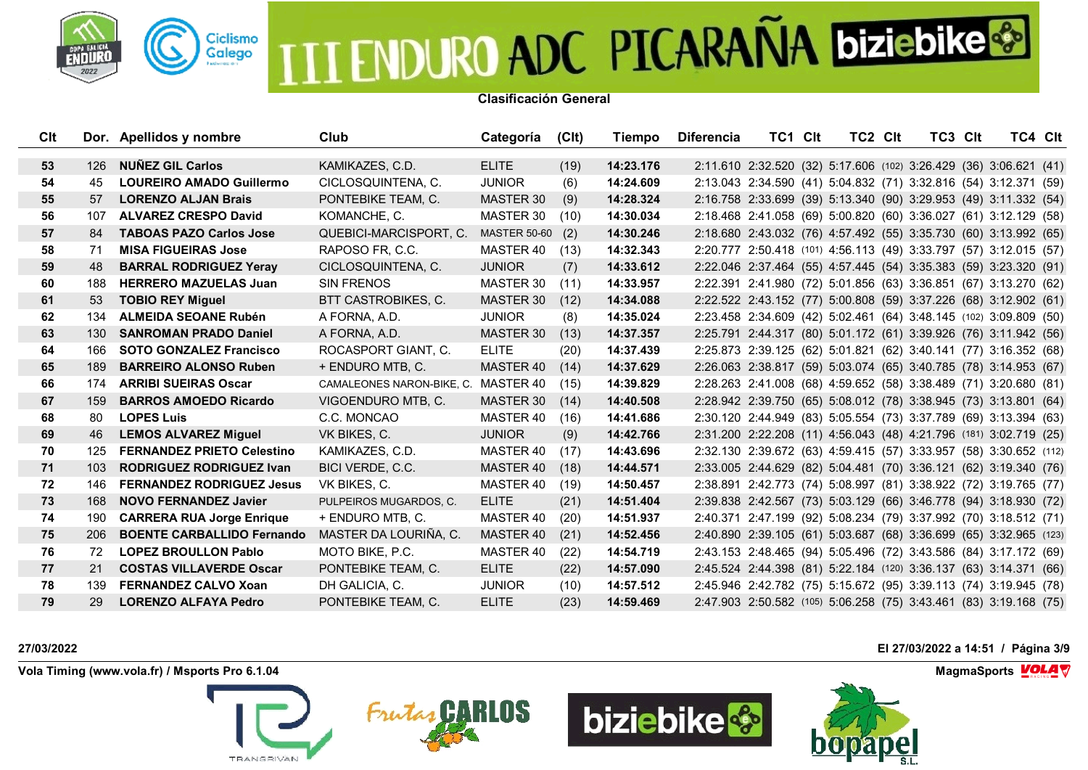

**Clasificación General**

| Clt |     | Dor. Apellidos y nombre           | Club                                | Categoría           | (C <sub>l</sub> ) | Tiempo    | <b>Diferencia</b> | TC1 CIt                                                           | TC2 CIt | TC3 CIt |  | TC4 Clt |
|-----|-----|-----------------------------------|-------------------------------------|---------------------|-------------------|-----------|-------------------|-------------------------------------------------------------------|---------|---------|--|---------|
|     |     |                                   |                                     |                     |                   |           |                   |                                                                   |         |         |  |         |
| 53  | 126 | <b>NUNEZ GIL Carlos</b>           | KAMIKAZES, C.D.                     | <b>ELITE</b>        | (19)              | 14:23.176 |                   | 2:11.610 2:32.520 (32) 5:17.606 (102) 3:26.429 (36) 3:06.621 (41) |         |         |  |         |
| 54  | 45  | <b>LOUREIRO AMADO Guillermo</b>   | CICLOSQUINTENA, C.                  | <b>JUNIOR</b>       | (6)               | 14:24.609 |                   | 2:13.043 2:34.590 (41) 5:04.832 (71) 3:32.816 (54) 3:12.371 (59)  |         |         |  |         |
| 55  | 57  | <b>LORENZO ALJAN Brais</b>        | PONTEBIKE TEAM, C.                  | <b>MASTER 30</b>    | (9)               | 14:28.324 |                   | 2:16.758 2:33.699 (39) 5:13.340 (90) 3:29.953 (49) 3:11.332 (54)  |         |         |  |         |
| 56  | 107 | <b>ALVAREZ CRESPO David</b>       | KOMANCHE, C.                        | MASTER 30           | (10)              | 14:30.034 |                   | 2:18.468 2:41.058 (69) 5:00.820 (60) 3:36.027 (61) 3:12.129 (58)  |         |         |  |         |
| 57  | 84  | <b>TABOAS PAZO Carlos Jose</b>    | QUEBICI-MARCISPORT, C.              | <b>MASTER 50-60</b> | (2)               | 14:30.246 |                   | 2:18.680 2:43.032 (76) 4:57.492 (55) 3:35.730 (60) 3:13.992 (65)  |         |         |  |         |
| 58  | 71  | <b>MISA FIGUEIRAS Jose</b>        | RAPOSO FR, C.C.                     | MASTER 40           | (13)              | 14:32.343 |                   | 2:20.777 2:50.418 (101) 4:56.113 (49) 3:33.797 (57) 3:12.015 (57) |         |         |  |         |
| 59  | 48  | <b>BARRAL RODRIGUEZ Yeray</b>     | CICLOSQUINTENA, C.                  | <b>JUNIOR</b>       | (7)               | 14:33.612 |                   | 2:22.046 2:37.464 (55) 4:57.445 (54) 3:35.383 (59) 3:23.320 (91)  |         |         |  |         |
| 60  | 188 | <b>HERRERO MAZUELAS Juan</b>      | <b>SIN FRENOS</b>                   | MASTER 30           | (11)              | 14:33.957 |                   | 2:22.391 2:41.980 (72) 5:01.856 (63) 3:36.851 (67) 3:13.270 (62)  |         |         |  |         |
| 61  | 53  | <b>TOBIO REY Miguel</b>           | BTT CASTROBIKES, C.                 | MASTER 30           | (12)              | 14:34.088 |                   | 2:22.522 2:43.152 (77) 5:00.808 (59) 3:37.226 (68) 3:12.902 (61)  |         |         |  |         |
| 62  | 134 | <b>ALMEIDA SEOANE Rubén</b>       | A FORNA, A.D.                       | <b>JUNIOR</b>       | (8)               | 14:35.024 |                   | 2:23.458 2:34.609 (42) 5:02.461 (64) 3:48.145 (102) 3:09.809 (50) |         |         |  |         |
| 63  | 130 | <b>SANROMAN PRADO Daniel</b>      | A FORNA, A.D.                       | MASTER 30           | (13)              | 14:37.357 |                   | 2:25.791 2:44.317 (80) 5:01.172 (61) 3:39.926 (76) 3:11.942 (56)  |         |         |  |         |
| 64  | 166 | <b>SOTO GONZALEZ Francisco</b>    | ROCASPORT GIANT, C.                 | <b>ELITE</b>        | (20)              | 14:37.439 |                   | 2:25.873 2:39.125 (62) 5:01.821 (62) 3:40.141 (77) 3:16.352 (68)  |         |         |  |         |
| 65  | 189 | <b>BARREIRO ALONSO Ruben</b>      | + ENDURO MTB, C.                    | MASTER 40           | (14)              | 14:37.629 |                   | 2:26.063 2:38.817 (59) 5:03.074 (65) 3:40.785 (78) 3:14.953 (67)  |         |         |  |         |
| 66  | 174 | <b>ARRIBI SUEIRAS Oscar</b>       | CAMALEONES NARON-BIKE, C. MASTER 40 |                     | (15)              | 14:39.829 |                   | 2:28.263 2:41.008 (68) 4:59.652 (58) 3:38.489 (71) 3:20.680 (81)  |         |         |  |         |
| 67  | 159 | <b>BARROS AMOEDO Ricardo</b>      | VIGOENDURO MTB, C.                  | MASTER 30           | (14)              | 14:40.508 |                   | 2:28.942 2:39.750 (65) 5:08.012 (78) 3:38.945 (73) 3:13.801 (64)  |         |         |  |         |
| 68  | 80  | <b>LOPES Luis</b>                 | C.C. MONCAO                         | MASTER 40           | (16)              | 14:41.686 |                   | 2:30.120 2:44.949 (83) 5:05.554 (73) 3:37.789 (69) 3:13.394 (63)  |         |         |  |         |
| 69  | 46  | <b>LEMOS ALVAREZ Miguel</b>       | VK BIKES, C.                        | <b>JUNIOR</b>       | (9)               | 14:42.766 |                   | 2:31.200 2:22.208 (11) 4:56.043 (48) 4:21.796 (181) 3:02.719 (25) |         |         |  |         |
| 70  | 125 | <b>FERNANDEZ PRIETO Celestino</b> | KAMIKAZES, C.D.                     | MASTER 40           | (17)              | 14:43.696 |                   | 2:32.130 2:39.672 (63) 4:59.415 (57) 3:33.957 (58) 3:30.652 (112) |         |         |  |         |
| 71  | 103 | <b>RODRIGUEZ RODRIGUEZ Ivan</b>   | BICI VERDE, C.C.                    | MASTER 40           | (18)              | 14:44.571 |                   | 2:33.005 2:44.629 (82) 5:04.481 (70) 3:36.121 (62) 3:19.340 (76)  |         |         |  |         |
| 72  | 146 | <b>FERNANDEZ RODRIGUEZ Jesus</b>  | VK BIKES, C.                        | MASTER 40           | (19)              | 14:50.457 |                   | 2:38.891 2:42.773 (74) 5:08.997 (81) 3:38.922 (72) 3:19.765 (77)  |         |         |  |         |
| 73  | 168 | <b>NOVO FERNANDEZ Javier</b>      | PULPEIROS MUGARDOS, C.              | <b>ELITE</b>        | (21)              | 14:51.404 |                   | 2:39.838 2:42.567 (73) 5:03.129 (66) 3:46.778 (94) 3:18.930 (72)  |         |         |  |         |
| 74  | 190 | <b>CARRERA RUA Jorge Enrique</b>  | + ENDURO MTB. C.                    | MASTER 40           | (20)              | 14:51.937 |                   | 2:40.371 2:47.199 (92) 5:08.234 (79) 3:37.992 (70) 3:18.512 (71)  |         |         |  |         |
| 75  | 206 | <b>BOENTE CARBALLIDO Fernando</b> | MASTER DA LOURIÑA, C.               | MASTER 40           | (21)              | 14:52.456 |                   | 2:40.890 2:39.105 (61) 5:03.687 (68) 3:36.699 (65) 3:32.965 (123) |         |         |  |         |
| 76  | 72  | <b>LOPEZ BROULLON Pablo</b>       | MOTO BIKE, P.C.                     | MASTER 40           | (22)              | 14:54.719 |                   | 2:43.153 2:48.465 (94) 5:05.496 (72) 3:43.586 (84) 3:17.172 (69)  |         |         |  |         |
| 77  | 21  | <b>COSTAS VILLAVERDE Oscar</b>    | PONTEBIKE TEAM, C.                  | <b>ELITE</b>        | (22)              | 14:57.090 |                   | 2:45.524 2:44.398 (81) 5:22.184 (120) 3:36.137 (63) 3:14.371 (66) |         |         |  |         |
| 78  | 139 | <b>FERNANDEZ CALVO Xoan</b>       | DH GALICIA, C.                      | <b>JUNIOR</b>       | (10)              | 14:57.512 |                   | 2:45.946 2:42.782 (75) 5:15.672 (95) 3:39.113 (74) 3:19.945 (78)  |         |         |  |         |
| 79  | 29  | <b>LORENZO ALFAYA Pedro</b>       | PONTEBIKE TEAM, C.                  | <b>ELITE</b>        | (23)              | 14:59.469 |                   | 2:47.903 2:50.582 (105) 5:06.258 (75) 3:43.461 (83) 3:19.168 (75) |         |         |  |         |

**Vola Timing (www.vola.fr) / Msports Pro 6.1.04 MagmaSports MagmaSports MagmaSports MagmaSports MagmaSports** 









**27/03/2022 El 27/03/2022 a 14:51 / Página 3/9**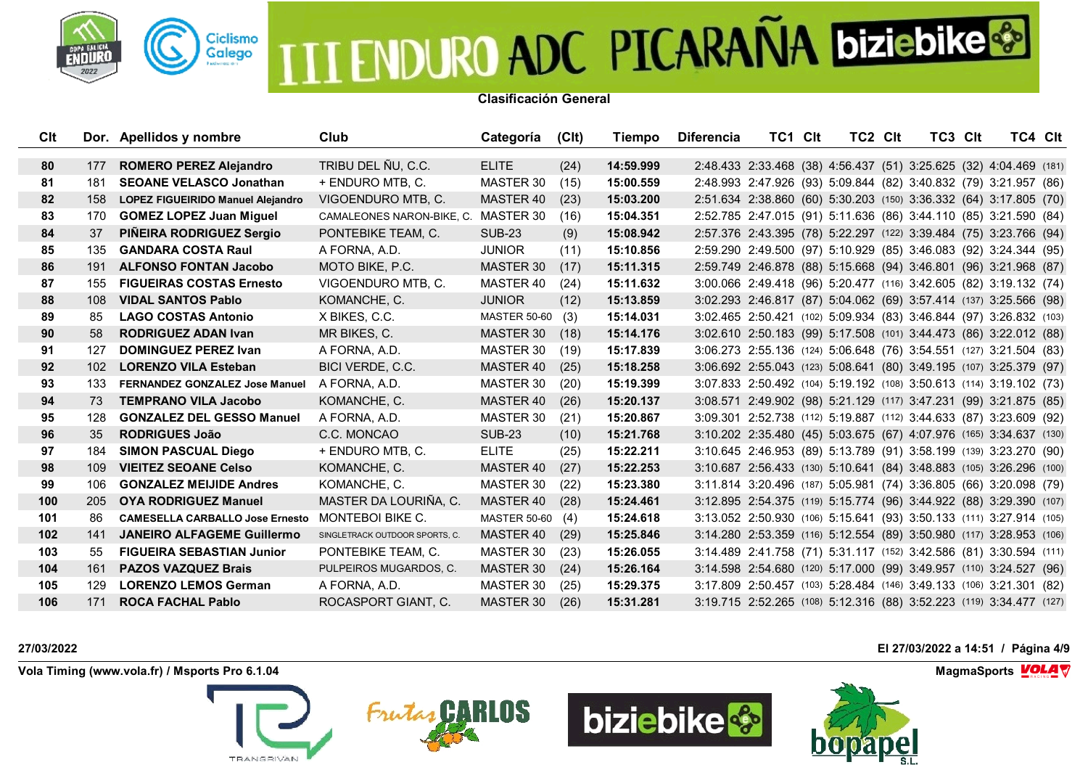

**Clasificación General**

| <b>C</b> lt      |      | Dor. Apellidos y nombre                | Club                                | Categoría           | (C <sub>l</sub> ) | Tiempo    | <b>Diferencia</b> | TC1 CIt                                                             | TC2 CIt | TC3 Clt | TC4 Clt |  |
|------------------|------|----------------------------------------|-------------------------------------|---------------------|-------------------|-----------|-------------------|---------------------------------------------------------------------|---------|---------|---------|--|
|                  |      |                                        |                                     |                     |                   |           |                   |                                                                     |         |         |         |  |
| 80               | 177  | <b>ROMERO PEREZ Alejandro</b>          | TRIBU DEL ÑU, C.C.                  | <b>ELITE</b>        | (24)              | 14:59.999 |                   | 2:48.433 2:33.468 (38) 4:56.437 (51) 3:25.625 (32) 4:04.469 (181)   |         |         |         |  |
| 81               | 181  | <b>SEOANE VELASCO Jonathan</b>         | + ENDURO MTB. C.                    | MASTER 30           | (15)              | 15:00.559 |                   | 2:48.993 2:47.926 (93) 5:09.844 (82) 3:40.832 (79) 3:21.957 (86)    |         |         |         |  |
| 82               | 158  | LOPEZ FIGUEIRIDO Manuel Alejandro      | VIGOENDURO MTB, C.                  | MASTER 40           | (23)              | 15:03.200 |                   | 2:51.634 2:38.860 (60) 5:30.203 (150) 3:36.332 (64) 3:17.805 (70)   |         |         |         |  |
| 83               | 170  | <b>GOMEZ LOPEZ Juan Miguel</b>         | CAMALEONES NARON-BIKE, C. MASTER 30 |                     | (16)              | 15:04.351 |                   | 2:52.785 2:47.015 (91) 5:11.636 (86) 3:44.110 (85) 3:21.590 (84)    |         |         |         |  |
| 84               | 37   | PIÑEIRA RODRIGUEZ Sergio               | PONTEBIKE TEAM, C.                  | <b>SUB-23</b>       | (9)               | 15:08.942 |                   | 2:57.376 2:43.395 (78) 5:22.297 (122) 3:39.484 (75) 3:23.766 (94)   |         |         |         |  |
| 85               | 135  | <b>GANDARA COSTA Raul</b>              | A FORNA, A.D.                       | <b>JUNIOR</b>       | (11)              | 15:10.856 |                   | 2:59.290 2:49.500 (97) 5:10.929 (85) 3:46.083 (92) 3:24.344 (95)    |         |         |         |  |
| 86               | 191  | <b>ALFONSO FONTAN Jacobo</b>           | MOTO BIKE, P.C.                     | <b>MASTER 30</b>    | (17)              | 15:11.315 |                   | 2:59.749 2:46.878 (88) 5:15.668 (94) 3:46.801 (96) 3:21.968 (87)    |         |         |         |  |
| 87               | 155  | <b>FIGUEIRAS COSTAS Ernesto</b>        | VIGOENDURO MTB, C.                  | MASTER 40           | (24)              | 15:11.632 |                   | 3:00.066 2:49.418 (96) 5:20.477 (116) 3:42.605 (82) 3:19.132 (74)   |         |         |         |  |
| 88               | 108  | <b>VIDAL SANTOS Pablo</b>              | KOMANCHE, C.                        | <b>JUNIOR</b>       | (12)              | 15:13.859 |                   | 3:02.293 2:46.817 (87) 5:04.062 (69) 3:57.414 (137) 3:25.566 (98)   |         |         |         |  |
| 89               | 85.  | <b>LAGO COSTAS Antonio</b>             | X BIKES, C.C.                       | <b>MASTER 50-60</b> | (3)               | 15:14.031 |                   | 3:02.465 2:50.421 (102) 5:09.934 (83) 3:46.844 (97) 3:26.832 (103)  |         |         |         |  |
| 90               | 58   | <b>RODRIGUEZ ADAN Ivan</b>             | MR BIKES, C.                        | MASTER 30           | (18)              | 15:14.176 |                   | 3:02.610 2:50.183 (99) 5:17.508 (101) 3:44.473 (86) 3:22.012 (88)   |         |         |         |  |
| 91               | 127  | <b>DOMINGUEZ PEREZ Ivan</b>            | A FORNA, A.D.                       | MASTER 30           | (19)              | 15:17.839 |                   | 3:06.273 2:55.136 (124) 5:06.648 (76) 3:54.551 (127) 3:21.504 (83)  |         |         |         |  |
| 92               | 102  | <b>LORENZO VILA Esteban</b>            | BICI VERDE, C.C.                    | MASTER 40           | (25)              | 15:18.258 |                   | 3:06.692 2:55.043 (123) 5:08.641 (80) 3:49.195 (107) 3:25.379 (97)  |         |         |         |  |
| 93               | 133  | FERNANDEZ GONZALEZ Jose Manuel         | A FORNA, A.D.                       | MASTER 30           | (20)              | 15:19.399 |                   | 3:07.833 2:50.492 (104) 5:19.192 (108) 3:50.613 (114) 3:19.102 (73) |         |         |         |  |
| 94               | 73   | <b>TEMPRANO VILA Jacobo</b>            | KOMANCHE, C.                        | MASTER 40           | (26)              | 15:20.137 |                   | 3:08.571 2:49.902 (98) 5:21.129 (117) 3:47.231 (99) 3:21.875 (85)   |         |         |         |  |
| 95               | 128  | <b>GONZALEZ DEL GESSO Manuel</b>       | A FORNA, A.D.                       | MASTER 30           | (21)              | 15:20.867 |                   | 3:09.301 2:52.738 (112) 5:19.887 (112) 3:44.633 (87) 3:23.609 (92)  |         |         |         |  |
| 96               | 35   | <b>RODRIGUES João</b>                  | C.C. MONCAO                         | <b>SUB-23</b>       | (10)              | 15:21.768 |                   | 3:10.202 2:35.480 (45) 5:03.675 (67) 4:07.976 (165) 3:34.637 (130)  |         |         |         |  |
| 97               | 184  | <b>SIMON PASCUAL Diego</b>             | + ENDURO MTB, C.                    | <b>ELITE</b>        | (25)              | 15:22.211 |                   | 3:10.645 2:46.953 (89) 5:13.789 (91) 3:58.199 (139) 3:23.270 (90)   |         |         |         |  |
| 98               | 109  | <b>VIEITEZ SEOANE Celso</b>            | KOMANCHE, C.                        | MASTER 40           | (27)              | 15:22.253 |                   | 3:10.687 2:56.433 (130) 5:10.641 (84) 3:48.883 (105) 3:26.296 (100) |         |         |         |  |
| 99               | 106  | <b>GONZALEZ MEIJIDE Andres</b>         | KOMANCHE, C.                        | MASTER 30           | (22)              | 15:23.380 |                   | 3:11.814 3:20.496 (187) 5:05.981 (74) 3:36.805 (66) 3:20.098 (79)   |         |         |         |  |
| 100 <sub>1</sub> | 205  | <b>OYA RODRIGUEZ Manuel</b>            | MASTER DA LOURIÑA, C.               | MASTER 40           | (28)              | 15:24.461 |                   | 3:12.895 2:54.375 (119) 5:15.774 (96) 3:44.922 (88) 3:29.390 (107)  |         |         |         |  |
| 101              | 86   | <b>CAMESELLA CARBALLO Jose Ernesto</b> | MONTEBOI BIKE C.                    | MASTER 50-60 (4)    |                   | 15:24.618 |                   | 3:13.052 2:50.930 (106) 5:15.641 (93) 3:50.133 (111) 3:27.914 (105) |         |         |         |  |
| 102 <sub>2</sub> | 141  | <b>JANEIRO ALFAGEME Guillermo</b>      | SINGLETRACK OUTDOOR SPORTS, C.      | MASTER 40           | (29)              | 15:25.846 |                   | 3:14.280 2:53.359 (116) 5:12.554 (89) 3:50.980 (117) 3:28.953 (106) |         |         |         |  |
| 103              | 55   | <b>FIGUEIRA SEBASTIAN Junior</b>       | PONTEBIKE TEAM, C.                  | MASTER 30           | (23)              | 15:26.055 |                   | 3:14.489 2:41.758 (71) 5:31.117 (152) 3:42.586 (81) 3:30.594 (111)  |         |         |         |  |
| 104              | 161  | <b>PAZOS VAZQUEZ Brais</b>             | PULPEIROS MUGARDOS, C.              | MASTER 30           | (24)              | 15:26.164 |                   | 3:14.598 2:54.680 (120) 5:17.000 (99) 3:49.957 (110) 3:24.527 (96)  |         |         |         |  |
| 105              | 129. | <b>LORENZO LEMOS German</b>            | A FORNA, A.D.                       | MASTER 30           | (25)              | 15:29.375 |                   | 3:17.809 2:50.457 (103) 5:28.484 (146) 3:49.133 (106) 3:21.301 (82) |         |         |         |  |
| 106              | 171  | <b>ROCA FACHAL Pablo</b>               | ROCASPORT GIANT, C.                 | MASTER 30           | (26)              | 15:31.281 |                   | 3:19.715 2:52.265 (108) 5:12.316 (88) 3:52.223 (119) 3:34.477 (127) |         |         |         |  |

**Vola Timing (www.vola.fr) / Msports Pro 6.1.04 MagmaSports MagmaSports MagmaSports MagmaSports MagmaSports** 









**27/03/2022 El 27/03/2022 a 14:51 / Página 4/9**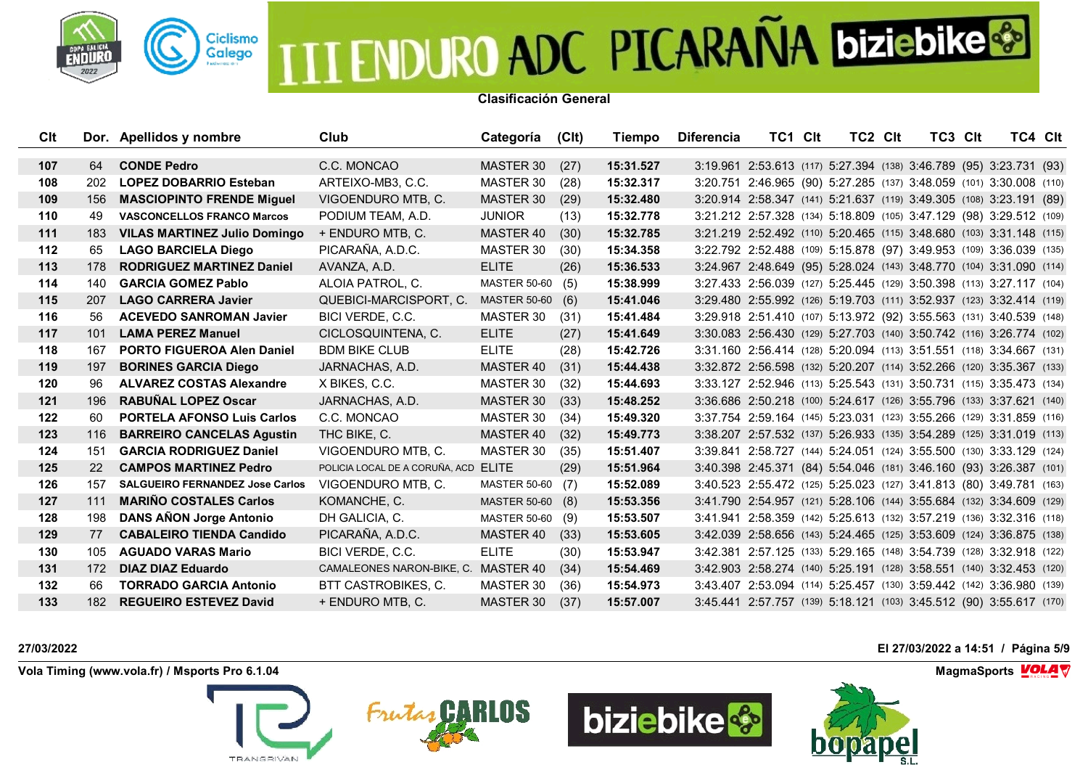

**Clasificación General**

| Clt   |     | Dor. Apellidos y nombre                | Club                                 | Categoría           | (C <sub>l</sub> ) | Tiempo    | <b>Diferencia</b> | TC1 CIt                                                              | TC2 CIt | TC3 Clt | TC4 Clt |  |
|-------|-----|----------------------------------------|--------------------------------------|---------------------|-------------------|-----------|-------------------|----------------------------------------------------------------------|---------|---------|---------|--|
|       |     |                                        |                                      |                     |                   |           |                   |                                                                      |         |         |         |  |
| 107   | 64  | <b>CONDE Pedro</b>                     | C.C. MONCAO                          | MASTER 30           | (27)              | 15:31.527 |                   | 3:19.961 2:53.613 (117) 5:27.394 (138) 3:46.789 (95) 3:23.731 (93)   |         |         |         |  |
| 108   | 202 | <b>LOPEZ DOBARRIO Esteban</b>          | ARTEIXO-MB3, C.C.                    | MASTER 30           | (28)              | 15:32.317 |                   | 3:20.751 2:46.965 (90) 5:27.285 (137) 3:48.059 (101) 3:30.008 (110)  |         |         |         |  |
| 109   | 156 | <b>MASCIOPINTO FRENDE Miguel</b>       | VIGOENDURO MTB, C.                   | MASTER 30           | (29)              | 15:32.480 |                   | 3:20.914 2:58.347 (141) 5:21.637 (119) 3:49.305 (108) 3:23.191 (89)  |         |         |         |  |
| 110   | 49  | <b>VASCONCELLOS FRANCO Marcos</b>      | PODIUM TEAM, A.D.                    | <b>JUNIOR</b>       | (13)              | 15:32.778 |                   | 3:21.212 2:57.328 (134) 5:18.809 (105) 3:47.129 (98) 3:29.512 (109)  |         |         |         |  |
| $111$ | 183 | <b>VILAS MARTINEZ Julio Domingo</b>    | + ENDURO MTB, C.                     | MASTER 40           | (30)              | 15:32.785 |                   | 3:21.219 2:52.492 (110) 5:20.465 (115) 3:48.680 (103) 3:31.148 (115) |         |         |         |  |
| 112   | 65  | <b>LAGO BARCIELA Diego</b>             | PICARAÑA, A.D.C.                     | MASTER 30           | (30)              | 15:34.358 |                   | 3:22.792 2:52.488 (109) 5:15.878 (97) 3:49.953 (109) 3:36.039 (135)  |         |         |         |  |
| 113   | 178 | <b>RODRIGUEZ MARTINEZ Daniel</b>       | AVANZA, A.D.                         | <b>ELITE</b>        | (26)              | 15:36.533 |                   | 3:24.967 2:48.649 (95) 5:28.024 (143) 3:48.770 (104) 3:31.090 (114)  |         |         |         |  |
| 114   | 140 | <b>GARCIA GOMEZ Pablo</b>              | ALOIA PATROL, C.                     | <b>MASTER 50-60</b> | (5)               | 15:38.999 |                   | 3:27.433 2:56.039 (127) 5:25.445 (129) 3:50.398 (113) 3:27.117 (104) |         |         |         |  |
| 115   | 207 | <b>LAGO CARRERA Javier</b>             | QUEBICI-MARCISPORT, C.               | <b>MASTER 50-60</b> | (6)               | 15:41.046 |                   | 3:29.480 2:55.992 (126) 5:19.703 (111) 3:52.937 (123) 3:32.414 (119) |         |         |         |  |
| 116   | 56  | <b>ACEVEDO SANROMAN Javier</b>         | BICI VERDE, C.C.                     | MASTER 30           | (31)              | 15:41.484 |                   | 3:29.918 2:51.410 (107) 5:13.972 (92) 3:55.563 (131) 3:40.539 (148)  |         |         |         |  |
| 117   | 101 | <b>LAMA PEREZ Manuel</b>               | CICLOSQUINTENA, C.                   | <b>ELITE</b>        | (27)              | 15:41.649 |                   | 3:30.083 2:56.430 (129) 5:27.703 (140) 3:50.742 (116) 3:26.774 (102) |         |         |         |  |
| 118   | 167 | <b>PORTO FIGUEROA Alen Daniel</b>      | <b>BDM BIKE CLUB</b>                 | <b>ELITE</b>        | (28)              | 15:42.726 |                   | 3:31.160 2:56.414 (128) 5:20.094 (113) 3:51.551 (118) 3:34.667 (131) |         |         |         |  |
| 119   | 197 | <b>BORINES GARCIA Diego</b>            | JARNACHAS, A.D.                      | MASTER 40           | (31)              | 15:44.438 |                   | 3:32.872 2:56.598 (132) 5:20.207 (114) 3:52.266 (120) 3:35.367 (133) |         |         |         |  |
| 120   | 96  | <b>ALVAREZ COSTAS Alexandre</b>        | X BIKES, C.C.                        | MASTER 30           | (32)              | 15:44.693 |                   | 3:33.127 2:52.946 (113) 5:25.543 (131) 3:50.731 (115) 3:35.473 (134) |         |         |         |  |
| 121   | 196 | <b>RABUÑAL LOPEZ Oscar</b>             | JARNACHAS, A.D.                      | MASTER 30           | (33)              | 15:48.252 |                   | 3:36.686 2:50.218 (100) 5:24.617 (126) 3:55.796 (133) 3:37.621 (140) |         |         |         |  |
| 122   | 60  | <b>PORTELA AFONSO Luis Carlos</b>      | C.C. MONCAO                          | MASTER 30           | (34)              | 15:49.320 |                   | 3:37.754 2:59.164 (145) 5:23.031 (123) 3:55.266 (129) 3:31.859 (116) |         |         |         |  |
| 123   | 116 | <b>BARREIRO CANCELAS Agustin</b>       | THC BIKE, C.                         | MASTER 40           | (32)              | 15:49.773 |                   | 3:38.207 2:57.532 (137) 5:26.933 (135) 3:54.289 (125) 3:31.019 (113) |         |         |         |  |
| 124   | 151 | <b>GARCIA RODRIGUEZ Daniel</b>         | VIGOENDURO MTB, C.                   | MASTER 30           | (35)              | 15:51.407 |                   | 3:39.841 2:58.727 (144) 5:24.051 (124) 3:55.500 (130) 3:33.129 (124) |         |         |         |  |
| 125   | 22  | <b>CAMPOS MARTINEZ Pedro</b>           | POLICIA LOCAL DE A CORUÑA, ACD ELITE |                     | (29)              | 15:51.964 |                   | 3:40.398 2:45.371 (84) 5:54.046 (181) 3:46.160 (93) 3:26.387 (101)   |         |         |         |  |
| 126   | 157 | <b>SALGUEIRO FERNANDEZ Jose Carlos</b> | VIGOENDURO MTB. C.                   | <b>MASTER 50-60</b> | (7)               | 15:52.089 |                   | 3:40.523 2:55.472 (125) 5:25.023 (127) 3:41.813 (80) 3:49.781 (163)  |         |         |         |  |
| 127   | 111 | <b>MARIÑO COSTALES Carlos</b>          | KOMANCHE, C.                         | MASTER 50-60 (8)    |                   | 15:53.356 |                   | 3:41.790 2:54.957 (121) 5:28.106 (144) 3:55.684 (132) 3:34.609 (129) |         |         |         |  |
| 128   | 198 | <b>DANS AÑON Jorge Antonio</b>         | DH GALICIA, C.                       | MASTER 50-60 (9)    |                   | 15:53.507 |                   | 3:41.941 2:58.359 (142) 5:25.613 (132) 3:57.219 (136) 3:32.316 (118) |         |         |         |  |
| 129   | 77  | <b>CABALEIRO TIENDA Candido</b>        | PICARAÑA, A.D.C.                     | MASTER 40           | (33)              | 15:53.605 |                   | 3:42.039 2:58.656 (143) 5:24.465 (125) 3:53.609 (124) 3:36.875 (138) |         |         |         |  |
| 130   | 105 | <b>AGUADO VARAS Mario</b>              | BICI VERDE, C.C.                     | <b>ELITE</b>        | (30)              | 15:53.947 |                   | 3:42.381 2:57.125 (133) 5:29.165 (148) 3:54.739 (128) 3:32.918 (122) |         |         |         |  |
| 131   | 172 | <b>DIAZ DIAZ Eduardo</b>               | CAMALEONES NARON-BIKE, C. MASTER 40  |                     | (34)              | 15:54.469 |                   | 3:42.903 2:58.274 (140) 5:25.191 (128) 3:58.551 (140) 3:32.453 (120) |         |         |         |  |
| 132   | 66  | <b>TORRADO GARCIA Antonio</b>          | BTT CASTROBIKES, C.                  | MASTER 30           | (36)              | 15:54.973 |                   | 3:43.407 2:53.094 (114) 5:25.457 (130) 3:59.442 (142) 3:36.980 (139) |         |         |         |  |
| 133   | 182 | <b>REGUEIRO ESTEVEZ David</b>          | + ENDURO MTB, C.                     | MASTER 30           | (37)              | 15:57.007 |                   | 3:45.441 2:57.757 (139) 5:18.121 (103) 3:45.512 (90) 3:55.617 (170)  |         |         |         |  |

**Vola Timing (www.vola.fr) / Msports Pro 6.1.04 MagmaSports MagmaSports MagmaSports MagmaSports MagmaSports** 









**27/03/2022 El 27/03/2022 a 14:51 / Página 5/9**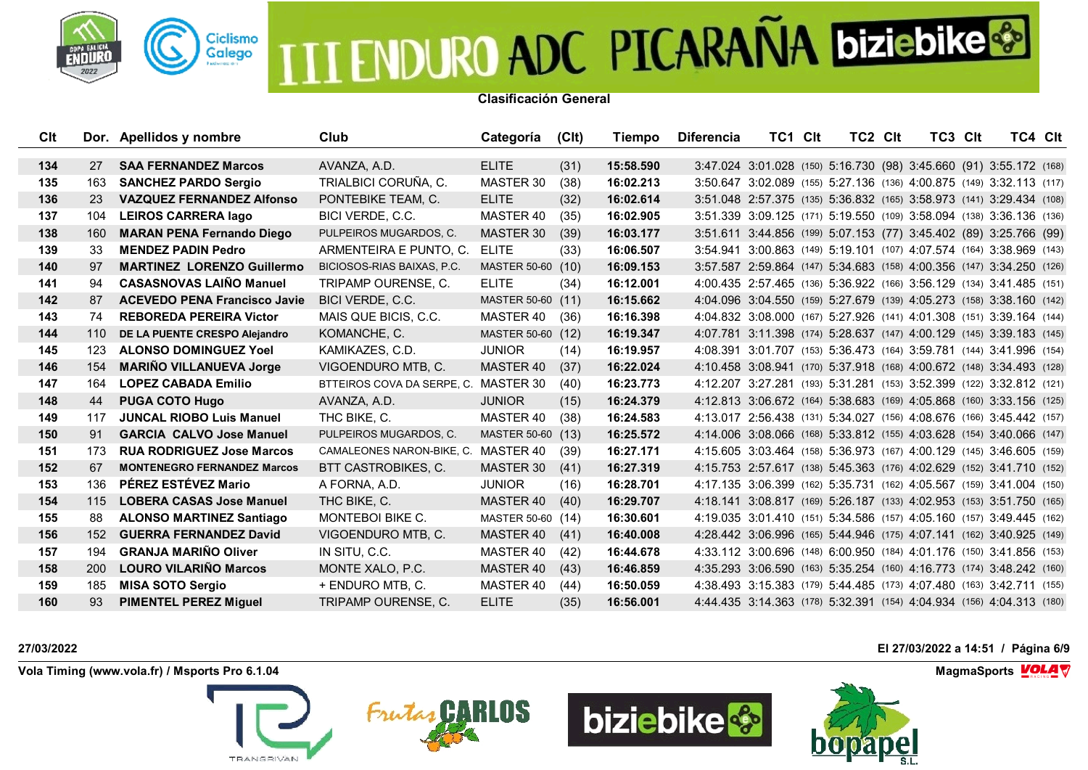

**Clasificación General**

| Clt |            | Dor. Apellidos y nombre             | Club                                 | Categoría         | (C <sub>l</sub> ) | Tiempo    | <b>Diferencia</b> | TC1 CIt                                                              | TC2 Clt | TC3 Clt | TC4 CIt |  |
|-----|------------|-------------------------------------|--------------------------------------|-------------------|-------------------|-----------|-------------------|----------------------------------------------------------------------|---------|---------|---------|--|
|     |            |                                     |                                      |                   |                   |           |                   |                                                                      |         |         |         |  |
| 134 | <b>27</b>  | <b>SAA FERNANDEZ Marcos</b>         | AVANZA, A.D.                         | <b>ELITE</b>      | (31)              | 15:58.590 |                   | 3:47.024 3:01.028 (150) 5:16.730 (98) 3:45.660 (91) 3:55.172 (168)   |         |         |         |  |
| 135 | 163        | <b>SANCHEZ PARDO Sergio</b>         | TRIALBICI CORUÑA, C.                 | MASTER 30         | (38)              | 16:02.213 |                   | 3:50.647 3:02.089 (155) 5:27.136 (136) 4:00.875 (149) 3:32.113 (117) |         |         |         |  |
| 136 | 23         | <b>VAZQUEZ FERNANDEZ Alfonso</b>    | PONTEBIKE TEAM. C.                   | <b>ELITE</b>      | (32)              | 16:02.614 |                   | 3:51.048 2:57.375 (135) 5:36.832 (165) 3:58.973 (141) 3:29.434 (108) |         |         |         |  |
| 137 | 104        | <b>LEIROS CARRERA lago</b>          | BICI VERDE, C.C.                     | MASTER 40         | (35)              | 16:02.905 |                   | 3:51.339 3:09.125 (171) 5:19.550 (109) 3:58.094 (138) 3:36.136 (136) |         |         |         |  |
| 138 | 160        | <b>MARAN PENA Fernando Diego</b>    | PULPEIROS MUGARDOS, C.               | MASTER 30         | (39)              | 16:03.177 |                   | 3:51.611 3:44.856 (199) 5:07.153 (77) 3:45.402 (89) 3:25.766 (99)    |         |         |         |  |
| 139 | 33         | <b>MENDEZ PADIN Pedro</b>           | ARMENTEIRA E PUNTO, C.               | <b>ELITE</b>      | (33)              | 16:06.507 |                   | 3:54.941 3:00.863 (149) 5:19.101 (107) 4:07.574 (164) 3:38.969 (143) |         |         |         |  |
| 140 | 97         | <b>MARTINEZ LORENZO Guillermo</b>   | BICIOSOS-RIAS BAIXAS, P.C.           | MASTER 50-60 (10) |                   | 16:09.153 |                   | 3:57.587 2:59.864 (147) 5:34.683 (158) 4:00.356 (147) 3:34.250 (126) |         |         |         |  |
| 141 | 94         | <b>CASASNOVAS LAIÑO Manuel</b>      | TRIPAMP OURENSE, C.                  | <b>ELITE</b>      | (34)              | 16:12.001 |                   | 4:00.435 2:57.465 (136) 5:36.922 (166) 3:56.129 (134) 3:41.485 (151) |         |         |         |  |
| 142 | 87         | <b>ACEVEDO PENA Francisco Javie</b> | BICI VERDE, C.C.                     | MASTER 50-60 (11) |                   | 16:15.662 |                   | 4:04.096 3:04.550 (159) 5:27.679 (139) 4:05.273 (158) 3:38.160 (142) |         |         |         |  |
| 143 | 74         | <b>REBOREDA PEREIRA Victor</b>      | MAIS QUE BICIS, C.C.                 | MASTER 40         | (36)              | 16:16.398 |                   | 4:04.832 3:08.000 (167) 5:27.926 (141) 4:01.308 (151) 3:39.164 (144) |         |         |         |  |
| 144 | 110        | DE LA PUENTE CRESPO Alejandro       | KOMANCHE, C.                         | MASTER 50-60 (12) |                   | 16:19.347 |                   | 4:07.781 3:11.398 (174) 5:28.637 (147) 4:00.129 (145) 3:39.183 (145) |         |         |         |  |
| 145 | 123        | <b>ALONSO DOMINGUEZ Yoel</b>        | KAMIKAZES, C.D.                      | <b>JUNIOR</b>     | (14)              | 16:19.957 |                   | 4:08.391 3:01.707 (153) 5:36.473 (164) 3:59.781 (144) 3:41.996 (154) |         |         |         |  |
| 146 | 154        | <b>MARIÑO VILLANUEVA Jorge</b>      | VIGOENDURO MTB, C.                   | MASTER 40         | (37)              | 16:22.024 |                   | 4:10.458 3:08.941 (170) 5:37.918 (168) 4:00.672 (148) 3:34.493 (128) |         |         |         |  |
| 147 | 164        | <b>LOPEZ CABADA Emilio</b>          | BTTEIROS COVA DA SERPE, C. MASTER 30 |                   | (40)              | 16:23.773 |                   | 4:12.207 3:27.281 (193) 5:31.281 (153) 3:52.399 (122) 3:32.812 (121) |         |         |         |  |
| 148 | 44         | <b>PUGA COTO Hugo</b>               | AVANZA, A.D.                         | <b>JUNIOR</b>     | (15)              | 16:24.379 |                   | 4:12.813 3:06.672 (164) 5:38.683 (169) 4:05.868 (160) 3:33.156 (125) |         |         |         |  |
| 149 | 117        | <b>JUNCAL RIOBO Luis Manuel</b>     | THC BIKE, C.                         | MASTER 40         | (38)              | 16:24.583 |                   | 4:13.017 2:56.438 (131) 5:34.027 (156) 4:08.676 (166) 3:45.442 (157) |         |         |         |  |
| 150 | 91         | <b>GARCIA CALVO Jose Manuel</b>     | PULPEIROS MUGARDOS, C.               | MASTER 50-60 (13) |                   | 16:25.572 |                   | 4:14.006 3:08.066 (168) 5:33.812 (155) 4:03.628 (154) 3:40.066 (147) |         |         |         |  |
| 151 | 173        | <b>RUA RODRIGUEZ Jose Marcos</b>    | CAMALEONES NARON-BIKE, C. MASTER 40  |                   | (39)              | 16:27.171 |                   | 4:15.605 3:03.464 (158) 5:36.973 (167) 4:00.129 (145) 3:46.605 (159) |         |         |         |  |
| 152 | 67         | <b>MONTENEGRO FERNANDEZ Marcos</b>  | BTT CASTROBIKES, C.                  | MASTER 30         | (41)              | 16:27.319 |                   | 4:15.753 2:57.617 (138) 5:45.363 (176) 4:02.629 (152) 3:41.710 (152) |         |         |         |  |
| 153 | 136        | PÉREZ ESTÉVEZ Mario                 | A FORNA, A.D.                        | <b>JUNIOR</b>     | (16)              | 16:28.701 |                   | 4:17.135 3:06.399 (162) 5:35.731 (162) 4:05.567 (159) 3:41.004 (150) |         |         |         |  |
| 154 | 115        | <b>LOBERA CASAS Jose Manuel</b>     | THC BIKE, C.                         | MASTER 40         | (40)              | 16:29.707 |                   | 4:18.141 3:08.817 (169) 5:26.187 (133) 4:02.953 (153) 3:51.750 (165) |         |         |         |  |
| 155 | 88         | <b>ALONSO MARTINEZ Santiago</b>     | <b>MONTEBOI BIKE C.</b>              | MASTER 50-60 (14) |                   | 16:30.601 |                   | 4:19.035 3:01.410 (151) 5:34.586 (157) 4:05.160 (157) 3:49.445 (162) |         |         |         |  |
| 156 | 152        | <b>GUERRA FERNANDEZ David</b>       | VIGOENDURO MTB, C.                   | MASTER 40         | (41)              | 16:40.008 |                   | 4:28.442 3:06.996 (165) 5:44.946 (175) 4:07.141 (162) 3:40.925 (149) |         |         |         |  |
| 157 | 194        | <b>GRANJA MARIÑO Oliver</b>         | IN SITU, C.C.                        | MASTER 40         | (42)              | 16:44.678 |                   | 4:33.112 3:00.696 (148) 6:00.950 (184) 4:01.176 (150) 3:41.856 (153) |         |         |         |  |
| 158 | <b>200</b> | <b>LOURO VILARIÑO Marcos</b>        | MONTE XALO, P.C.                     | MASTER 40         | (43)              | 16:46.859 |                   | 4:35.293 3:06.590 (163) 5:35.254 (160) 4:16.773 (174) 3:48.242 (160) |         |         |         |  |
| 159 | 185        | <b>MISA SOTO Sergio</b>             | + ENDURO MTB, C.                     | MASTER 40         | (44)              | 16:50.059 |                   | 4:38.493 3:15.383 (179) 5:44.485 (173) 4:07.480 (163) 3:42.711 (155) |         |         |         |  |
| 160 | 93         | <b>PIMENTEL PEREZ Miguel</b>        | TRIPAMP OURENSE, C.                  | <b>ELITE</b>      | (35)              | 16:56.001 |                   | 4:44.435 3:14.363 (178) 5:32.391 (154) 4:04.934 (156) 4:04.313 (180) |         |         |         |  |

**Vola Timing (www.vola.fr) / Msports Pro 6.1.04 MagmaSports MagmaSports MagmaSports MagmaSports MagmaSports** 









**27/03/2022 El 27/03/2022 a 14:51 / Página 6/9**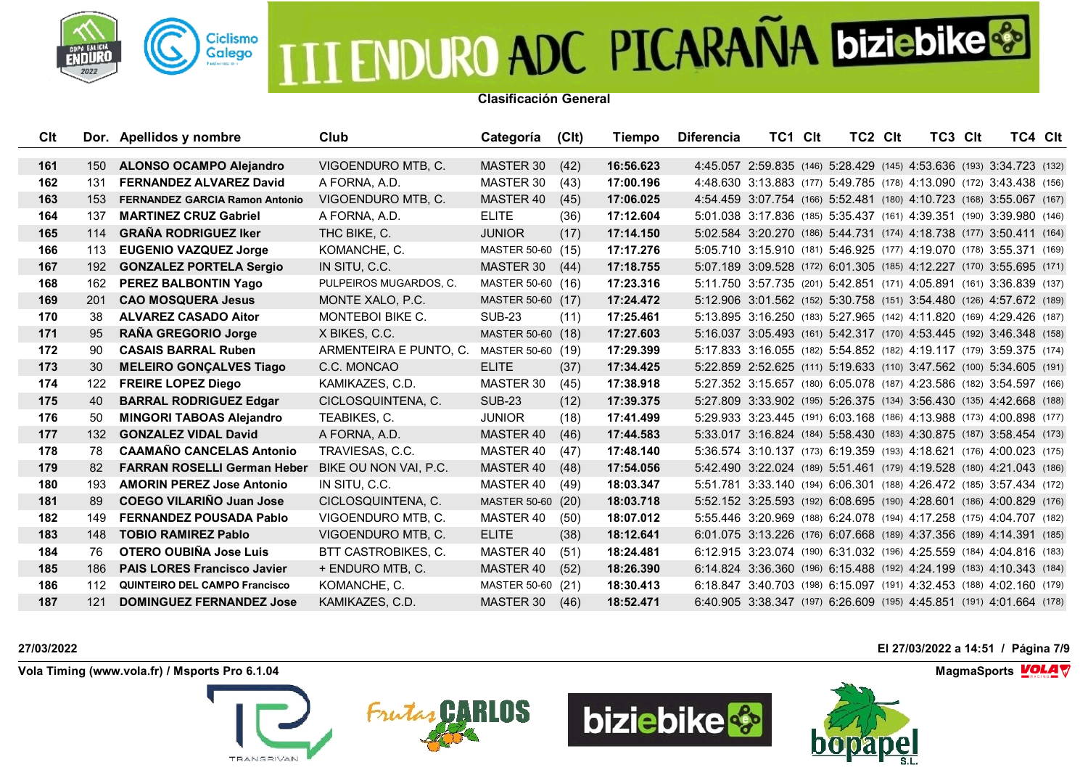

**Clasificación General**

| Clt |                  | Dor. Apellidos y nombre               | Club                    | Categoría         | (C <sub>l</sub> ) | Tiempo    | <b>Diferencia</b> | TC1 CIt                                                              | TC <sub>2</sub> C <sub>It</sub> | TC3 CIt | TC4 Clt |  |
|-----|------------------|---------------------------------------|-------------------------|-------------------|-------------------|-----------|-------------------|----------------------------------------------------------------------|---------------------------------|---------|---------|--|
|     |                  |                                       |                         |                   |                   | 16:56.623 |                   |                                                                      |                                 |         |         |  |
| 161 | 150              | <b>ALONSO OCAMPO Alejandro</b>        | VIGOENDURO MTB, C.      | MASTER 30         | (42)              |           |                   | 4:45.057 2:59.835 (146) 5:28.429 (145) 4:53.636 (193) 3:34.723 (132) |                                 |         |         |  |
| 162 | 131              | <b>FERNANDEZ ALVAREZ David</b>        | A FORNA, A.D.           | MASTER 30         | (43)              | 17:00.196 |                   | 4:48.630 3:13.883 (177) 5:49.785 (178) 4:13.090 (172) 3:43.438 (156) |                                 |         |         |  |
| 163 | 153              | <b>FERNANDEZ GARCIA Ramon Antonio</b> | VIGOENDURO MTB. C.      | MASTER 40         | (45)              | 17:06.025 |                   | 4:54.459 3:07.754 (166) 5:52.481 (180) 4:10.723 (168) 3:55.067 (167) |                                 |         |         |  |
| 164 | 137              | <b>MARTINEZ CRUZ Gabriel</b>          | A FORNA, A.D.           | <b>ELITE</b>      | (36)              | 17:12.604 |                   | 5:01.038 3:17.836 (185) 5:35.437 (161) 4:39.351 (190) 3:39.980 (146) |                                 |         |         |  |
| 165 | 114              | <b>GRAÑA RODRIGUEZ Iker</b>           | THC BIKE, C.            | <b>JUNIOR</b>     | (17)              | 17:14.150 |                   | 5:02.584 3:20.270 (186) 5:44.731 (174) 4:18.738 (177) 3:50.411 (164) |                                 |         |         |  |
| 166 | 113              | <b>EUGENIO VAZQUEZ Jorge</b>          | KOMANCHE, C.            | MASTER 50-60 (15) |                   | 17:17.276 |                   | 5:05.710 3:15.910 (181) 5:46.925 (177) 4:19.070 (178) 3:55.371 (169) |                                 |         |         |  |
| 167 | 192              | <b>GONZALEZ PORTELA Sergio</b>        | IN SITU. C.C.           | MASTER 30         | (44)              | 17:18.755 |                   | 5:07.189 3:09.528 (172) 6:01.305 (185) 4:12.227 (170) 3:55.695 (171) |                                 |         |         |  |
| 168 | 162              | PEREZ BALBONTIN Yago                  | PULPEIROS MUGARDOS, C.  | MASTER 50-60 (16) |                   | 17:23.316 |                   | 5:11.750 3:57.735 (201) 5:42.851 (171) 4:05.891 (161) 3:36.839 (137) |                                 |         |         |  |
| 169 | <b>201</b>       | <b>CAO MOSQUERA Jesus</b>             | MONTE XALO, P.C.        | MASTER 50-60 (17) |                   | 17:24.472 |                   | 5:12.906 3:01.562 (152) 5:30.758 (151) 3:54.480 (126) 4:57.672 (189) |                                 |         |         |  |
| 170 | 38               | <b>ALVAREZ CASADO Aitor</b>           | <b>MONTEBOI BIKE C.</b> | <b>SUB-23</b>     | (11)              | 17:25.461 |                   | 5:13.895 3:16.250 (183) 5:27.965 (142) 4:11.820 (169) 4:29.426 (187) |                                 |         |         |  |
| 171 | 95               | RAÑA GREGORIO Jorge                   | X BIKES, C.C.           | MASTER 50-60 (18) |                   | 17:27.603 |                   | 5:16.037 3:05.493 (161) 5:42.317 (170) 4:53.445 (192) 3:46.348 (158) |                                 |         |         |  |
| 172 | 90               | <b>CASAIS BARRAL Ruben</b>            | ARMENTEIRA E PUNTO, C.  | MASTER 50-60 (19) |                   | 17:29.399 |                   | 5:17.833 3:16.055 (182) 5:54.852 (182) 4:19.117 (179) 3:59.375 (174) |                                 |         |         |  |
| 173 | 30               | <b>MELEIRO GONÇALVES Tiago</b>        | C.C. MONCAO             | <b>ELITE</b>      | (37)              | 17:34.425 |                   | 5:22.859 2:52.625 (111) 5:19.633 (110) 3:47.562 (100) 5:34.605 (191) |                                 |         |         |  |
| 174 | 122              | <b>FREIRE LOPEZ Diego</b>             | KAMIKAZES, C.D.         | MASTER 30         | (45)              | 17:38.918 |                   | 5:27.352 3:15.657 (180) 6:05.078 (187) 4:23.586 (182) 3:54.597 (166) |                                 |         |         |  |
| 175 | 40               | <b>BARRAL RODRIGUEZ Edgar</b>         | CICLOSQUINTENA, C.      | <b>SUB-23</b>     | (12)              | 17:39.375 |                   | 5:27.809 3:33.902 (195) 5:26.375 (134) 3:56.430 (135) 4:42.668 (188) |                                 |         |         |  |
| 176 | 50               | <b>MINGORI TABOAS Alejandro</b>       | TEABIKES, C.            | <b>JUNIOR</b>     | (18)              | 17:41.499 |                   | 5:29.933 3:23.445 (191) 6:03.168 (186) 4:13.988 (173) 4:00.898 (177) |                                 |         |         |  |
| 177 | 132 <sub>2</sub> | <b>GONZALEZ VIDAL David</b>           | A FORNA, A.D.           | <b>MASTER 40</b>  | (46)              | 17:44.583 |                   | 5:33.017 3:16.824 (184) 5:58.430 (183) 4:30.875 (187) 3:58.454 (173) |                                 |         |         |  |
| 178 | 78               | <b>CAAMAÑO CANCELAS Antonio</b>       | TRAVIESAS, C.C.         | MASTER 40         | (47)              | 17:48.140 |                   | 5:36.574 3:10.137 (173) 6:19.359 (193) 4:18.621 (176) 4:00.023 (175) |                                 |         |         |  |
| 179 | 82               | <b>FARRAN ROSELLI German Heber</b>    | BIKE OU NON VAI. P.C.   | MASTER 40         | (48)              | 17:54.056 |                   | 5:42.490 3:22.024 (189) 5:51.461 (179) 4:19.528 (180) 4:21.043 (186) |                                 |         |         |  |
| 180 | 193              | <b>AMORIN PEREZ Jose Antonio</b>      | IN SITU, C.C.           | MASTER 40         | (49)              | 18:03.347 |                   | 5:51.781 3:33.140 (194) 6:06.301 (188) 4:26.472 (185) 3:57.434 (172) |                                 |         |         |  |
| 181 | 89               | <b>COEGO VILARIÑO Juan Jose</b>       | CICLOSQUINTENA, C.      | MASTER 50-60 (20) |                   | 18:03.718 |                   | 5:52.152 3:25.593 (192) 6:08.695 (190) 4:28.601 (186) 4:00.829 (176) |                                 |         |         |  |
| 182 | 149              | <b>FERNANDEZ POUSADA Pablo</b>        | VIGOENDURO MTB. C.      | MASTER 40         | (50)              | 18:07.012 |                   | 5:55.446 3:20.969 (188) 6:24.078 (194) 4:17.258 (175) 4:04.707 (182) |                                 |         |         |  |
| 183 | 148              | <b>TOBIO RAMIREZ Pablo</b>            | VIGOENDURO MTB, C.      | <b>ELITE</b>      | (38)              | 18:12.641 |                   | 6:01.075 3:13.226 (176) 6:07.668 (189) 4:37.356 (189) 4:14.391 (185) |                                 |         |         |  |
| 184 | 76               | <b>OTERO OUBIÑA Jose Luis</b>         | BTT CASTROBIKES, C.     | MASTER 40         | (51)              | 18:24.481 |                   | 6:12.915 3:23.074 (190) 6:31.032 (196) 4:25.559 (184) 4:04.816 (183) |                                 |         |         |  |
| 185 | 186              | <b>PAIS LORES Francisco Javier</b>    | + ENDURO MTB, C.        | MASTER 40         | (52)              | 18:26.390 |                   | 6:14.824 3:36.360 (196) 6:15.488 (192) 4:24.199 (183) 4:10.343 (184) |                                 |         |         |  |
| 186 | 112              | <b>QUINTEIRO DEL CAMPO Francisco</b>  | KOMANCHE, C.            | MASTER 50-60 (21) |                   | 18:30.413 |                   | 6:18.847 3:40.703 (198) 6:15.097 (191) 4:32.453 (188) 4:02.160 (179) |                                 |         |         |  |
| 187 | 121              | <b>DOMINGUEZ FERNANDEZ Jose</b>       | KAMIKAZES, C.D.         | MASTER 30         | (46)              | 18:52.471 |                   | 6:40.905 3:38.347 (197) 6:26.609 (195) 4:45.851 (191) 4:01.664 (178) |                                 |         |         |  |

**Vola Timing (www.vola.fr) / Msports Pro 6.1.04 MagmaSports MagmaSports MagmaSports MagmaSports MagmaSports** 









**27/03/2022 El 27/03/2022 a 14:51 / Página 7/9**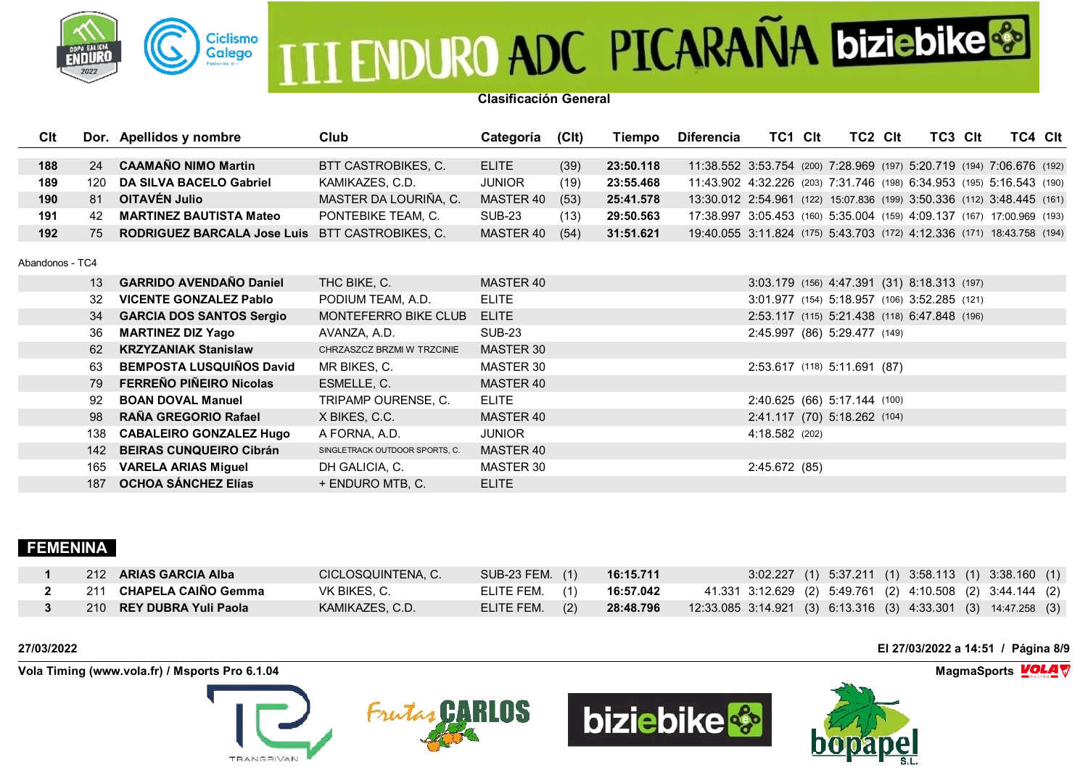

**Clasificación General**

| Clt             |     | Dor. Apellidos y nombre            | Club                           | Categoría     | (C <sub>l</sub> ) | Tiempo    | <b>Diferencia</b>                                                      | TC1 CIt        | TC2 CIt                                      | TC3 CIt | TC4 Clt |  |
|-----------------|-----|------------------------------------|--------------------------------|---------------|-------------------|-----------|------------------------------------------------------------------------|----------------|----------------------------------------------|---------|---------|--|
| 188             | 24  | <b>CAAMAÑO NIMO Martin</b>         | BTT CASTROBIKES, C.            | <b>ELITE</b>  |                   | 23:50.118 | 11:38.552 3:53.754 (200) 7:28.969 (197) 5:20.719 (194) 7:06.676 (192)  |                |                                              |         |         |  |
|                 |     |                                    |                                |               | (39)              |           |                                                                        |                |                                              |         |         |  |
| 189             | 120 | <b>DA SILVA BACELO Gabriel</b>     | KAMIKAZES, C.D.                | <b>JUNIOR</b> | (19)              | 23:55.468 | 11:43.902 4:32.226 (203) 7:31.746 (198) 6:34.953 (195) 5:16.543 (190)  |                |                                              |         |         |  |
| 190             | 81  | OITAVÉN Julio                      | MASTER DA LOURIÑA, C.          | MASTER 40     | (53)              | 25:41.578 | 13:30.012 2:54.961 (122) 15:07.836 (199) 3:50.336 (112) 3:48.445 (161) |                |                                              |         |         |  |
| 191             | 42  | <b>MARTINEZ BAUTISTA Mateo</b>     | PONTEBIKE TEAM, C.             | SUB-23        | (13)              | 29:50.563 | 17:38.997 3:05.453 (160) 5:35.004 (159) 4:09.137 (167) 17:00.969 (193) |                |                                              |         |         |  |
| 192             | 75  | <b>RODRIGUEZ BARCALA Jose Luis</b> | BTT CASTROBIKES, C.            | MASTER 40     | (54)              | 31:51.621 | 19:40.055 3:11.824 (175) 5:43.703 (172) 4:12.336 (171) 18:43.758 (194) |                |                                              |         |         |  |
| Abandonos - TC4 |     |                                    |                                |               |                   |           |                                                                        |                |                                              |         |         |  |
|                 | 13  | <b>GARRIDO AVENDAÑO Daniel</b>     | THC BIKE, C.                   | MASTER 40     |                   |           |                                                                        |                | 3:03.179 (156) 4:47.391 (31) 8:18.313 (197)  |         |         |  |
|                 | 32  | <b>VICENTE GONZALEZ Pablo</b>      | PODIUM TEAM, A.D.              | <b>ELITE</b>  |                   |           |                                                                        |                | 3:01.977 (154) 5:18.957 (106) 3:52.285 (121) |         |         |  |
|                 | 34  | <b>GARCIA DOS SANTOS Sergio</b>    | MONTEFERRO BIKE CLUB           | <b>ELITE</b>  |                   |           |                                                                        |                | 2:53.117 (115) 5:21.438 (118) 6:47.848 (196) |         |         |  |
|                 | 36  | <b>MARTINEZ DIZ Yago</b>           | AVANZA, A.D.                   | <b>SUB-23</b> |                   |           |                                                                        |                | 2:45.997 (86) 5:29.477 (149)                 |         |         |  |
|                 | 62  | <b>KRZYZANIAK Stanislaw</b>        | CHRZASZCZ BRZMI W TRZCINIE     | MASTER 30     |                   |           |                                                                        |                |                                              |         |         |  |
|                 | 63  | <b>BEMPOSTA LUSQUIÑOS David</b>    | MR BIKES, C.                   | MASTER 30     |                   |           |                                                                        |                | 2:53.617 (118) 5:11.691 (87)                 |         |         |  |
|                 | 79  | FERREÑO PIÑEIRO Nicolas            | ESMELLE, C.                    | MASTER 40     |                   |           |                                                                        |                |                                              |         |         |  |
|                 | 92  | <b>BOAN DOVAL Manuel</b>           | TRIPAMP OURENSE, C.            | <b>ELITE</b>  |                   |           |                                                                        |                | 2:40.625 (66) 5:17.144 (100)                 |         |         |  |
|                 | 98  | RAÑA GREGORIO Rafael               | X BIKES, C.C.                  | MASTER 40     |                   |           |                                                                        |                | 2:41.117 (70) 5:18.262 (104)                 |         |         |  |
|                 | 138 | <b>CABALEIRO GONZALEZ Hugo</b>     | A FORNA, A.D.                  | <b>JUNIOR</b> |                   |           |                                                                        | 4:18.582 (202) |                                              |         |         |  |
|                 | 142 | <b>BEIRAS CUNQUEIRO Cibrán</b>     | SINGLETRACK OUTDOOR SPORTS, C. | MASTER 40     |                   |           |                                                                        |                |                                              |         |         |  |
|                 | 165 | <b>VARELA ARIAS Miguel</b>         | DH GALICIA, C.                 | MASTER 30     |                   |           |                                                                        | 2:45.672 (85)  |                                              |         |         |  |
|                 | 187 | <b>OCHOA SÁNCHEZ Elías</b>         | + ENDURO MTB, C.               | <b>ELITE</b>  |                   |           |                                                                        |                |                                              |         |         |  |

### **FEMENINA**

| 212 ARIAS GARCIA Alba    | CICLOSQUINTENA, C. | SUB-23 FEM. (1) | 16:15.711 | 3:02.227 (1) 5:37.211 (1) 3:58.113 (1) 3:38.160 (1)                  |
|--------------------------|--------------------|-----------------|-----------|----------------------------------------------------------------------|
| 211 CHAPELA CAINO Gemma  | VK BIKES. C.       | ELITE FEM. (1)  | 16:57.042 | 41.331 3:12.629 (2) 5:49.761 (2) 4:10.508 (2) 3:44.144 (2)           |
| 210 REY DUBRA Yuli Paola | KAMIKAZES, C.D.    | ELITE FEM. (2)  | 28:48.796 | $(3)$ 12:33.085 3:14.921 (3) 6:13.316 (3) 4:33.301 (3) 14:47.258 (3) |

**Vola Timing (www.vola.fr) / Msports Pro 6.1.04 MagmaSports MagmaSports MagmaSports MagmaSports MagmaSports** 







**27/03/2022 El 27/03/2022 a 14:51 / Página 8/9**